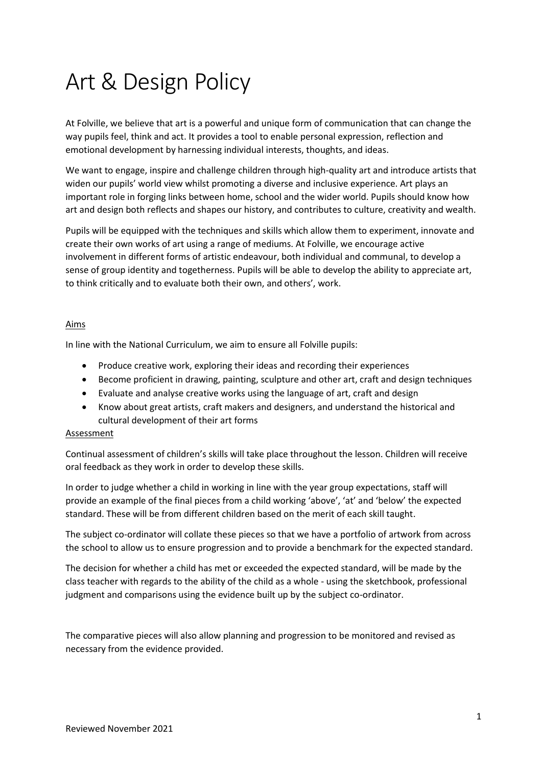# Art & Design Policy

At Folville, we believe that art is a powerful and unique form of communication that can change the way pupils feel, think and act. It provides a tool to enable personal expression, reflection and emotional development by harnessing individual interests, thoughts, and ideas.

We want to engage, inspire and challenge children through high-quality art and introduce artists that widen our pupils' world view whilst promoting a diverse and inclusive experience. Art plays an important role in forging links between home, school and the wider world. Pupils should know how art and design both reflects and shapes our history, and contributes to culture, creativity and wealth.

Pupils will be equipped with the techniques and skills which allow them to experiment, innovate and create their own works of art using a range of mediums. At Folville, we encourage active involvement in different forms of artistic endeavour, both individual and communal, to develop a sense of group identity and togetherness. Pupils will be able to develop the ability to appreciate art, to think critically and to evaluate both their own, and others', work.

## Aims

In line with the National Curriculum, we aim to ensure all Folville pupils:

- Produce creative work, exploring their ideas and recording their experiences
- Become proficient in drawing, painting, sculpture and other art, craft and design techniques
- Evaluate and analyse creative works using the language of art, craft and design
- Know about great artists, craft makers and designers, and understand the historical and cultural development of their art forms

#### Assessment

Continual assessment of children's skills will take place throughout the lesson. Children will receive oral feedback as they work in order to develop these skills.

In order to judge whether a child in working in line with the year group expectations, staff will provide an example of the final pieces from a child working 'above', 'at' and 'below' the expected standard. These will be from different children based on the merit of each skill taught.

The subject co-ordinator will collate these pieces so that we have a portfolio of artwork from across the school to allow us to ensure progression and to provide a benchmark for the expected standard.

The decision for whether a child has met or exceeded the expected standard, will be made by the class teacher with regards to the ability of the child as a whole - using the sketchbook, professional judgment and comparisons using the evidence built up by the subject co-ordinator.

The comparative pieces will also allow planning and progression to be monitored and revised as necessary from the evidence provided.